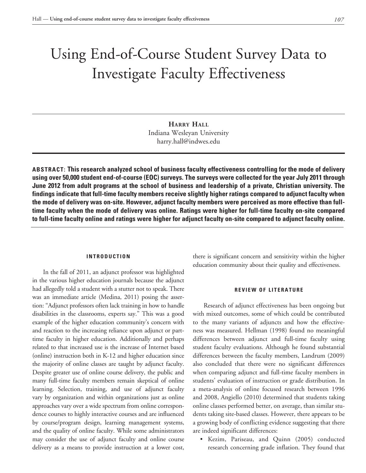# Using End-of-Course Student Survey Data to Investigate Faculty Effectiveness

**Harry Hall** Indiana Wesleyan University harry.hall@indwes.edu

**ABSTRACT: This research analyzed school of business faculty effectiveness controlling for the mode of delivery using over 50,000 student end-of-course (EOC) surveys. The surveys were collected for the year July 2011 through June 2012 from adult programs at the school of business and leadership of a private, Christian university. The findings indicate that full-time faculty members receive slightly higher ratings compared to adjunct faculty when the mode of delivery was on-site. However, adjunct faculty members were perceived as more effective than fulltime faculty when the mode of delivery was online. Ratings were higher for full-time faculty on-site compared to full-time faculty online and ratings were higher for adjunct faculty on-site compared to adjunct faculty online.**

# **INTRODUCTION**

In the fall of 2011, an adjunct professor was highlighted in the various higher education journals because the adjunct had allegedly told a student with a stutter not to speak. There was an immediate article (Medina, 2011) posing the assertion: "Adjunct professors often lack training in how to handle disabilities in the classrooms, experts say." This was a good example of the higher education community's concern with and reaction to the increasing reliance upon adjunct or parttime faculty in higher education. Additionally and perhaps related to that increased use is the increase of Internet based (online) instruction both in K-12 and higher education since the majority of online classes are taught by adjunct faculty. Despite greater use of online course delivery, the public and many full-time faculty members remain skeptical of online learning. Selection, training, and use of adjunct faculty vary by organization and within organizations just as online approaches vary over a wide spectrum from online correspondence courses to highly interactive courses and are influenced by course/program design, learning management systems, and the quality of online faculty. While some administrators may consider the use of adjunct faculty and online course delivery as a means to provide instruction at a lower cost, there is significant concern and sensitivity within the higher education community about their quality and effectiveness.

### **REVIEW OF LITERATURE**

Research of adjunct effectiveness has been ongoing but with mixed outcomes, some of which could be contributed to the many variants of adjuncts and how the effectiveness was measured. Hellman (1998) found no meaningful differences between adjunct and full-time faculty using student faculty evaluations. Although he found substantial differences between the faculty members, Landrum (2009) also concluded that there were no significant differences when comparing adjunct and full-time faculty members in students' evaluation of instruction or grade distribution. In a meta-analysis of online focused research between 1996 and 2008, Angiello (2010) determined that students taking online classes performed better, on average, than similar students taking site-based classes. However, there appears to be a growing body of conflicting evidence suggesting that there are indeed significant differences:

• Kezim, Pariseau, and Quinn (2005) conducted research concerning grade inflation. They found that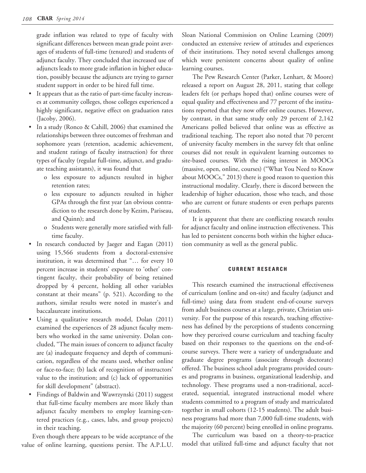grade inflation was related to type of faculty with significant differences between mean grade point averages of students of full-time (tenured) and students of adjunct faculty. They concluded that increased use of adjuncts leads to more grade inflation in higher education, possibly because the adjuncts are trying to garner student support in order to be hired full time.

- • It appears that as the ratio of part-time faculty increases at community colleges, those colleges experienced a highly significant, negative effect on graduation rates (Jacoby, 2006).
- In a study (Ronco  $& Cahill, 2006)$  that examined the relationships between three outcomes of freshman and sophomore years (retention, academic achievement, and student ratings of faculty instruction) for three types of faculty (regular full-time, adjunct, and graduate teaching assistants), it was found that
	- o less exposure to adjuncts resulted in higher retention rates;
	- o less exposure to adjuncts resulted in higher GPAs through the first year (an obvious contradiction to the research done by Kezim, Pariseau, and Quinn); and
	- o Students were generally more satisfied with fulltime faculty.
- In research conducted by Jaeger and Eagan (2011) using 15,566 students from a doctoral-extensive institution, it was determined that "… for every 10 percent increase in students' exposure to 'other' contingent faculty, their probability of being retained dropped by 4 percent, holding all other variables constant at their means" (p. 521). According to the authors, similar results were noted in master's and baccalaureate institutions.
- • Using a qualitative research model, Dolan (2011) examined the experiences of 28 adjunct faculty members who worked in the same university. Dolan concluded, "The main issues of concern to adjunct faculty are (a) inadequate frequency and depth of communication, regardless of the means used, whether online or face-to-face; (b) lack of recognition of instructors' value to the institution; and (c) lack of opportunities for skill development" (abstract).
- • Findings of Baldwin and Wawrzynski (2011) suggest that full-time faculty members are more likely than adjunct faculty members to employ learning-centered practices (e.g., cases, labs, and group projects) in their teaching.

Even though there appears to be wide acceptance of the value of online learning, questions persist. The A.P.L.U.

Sloan National Commission on Online Learning (2009) conducted an extensive review of attitudes and experiences of their institutions. They noted several challenges among which were persistent concerns about quality of online learning courses.

The Pew Research Center (Parker, Lenhart, & Moore) released a report on August 28, 2011, stating that college leaders felt (or perhaps hoped that) online courses were of equal quality and effectiveness and 77 percent of the institutions reported that they now offer online courses. However, by contrast, in that same study only 29 percent of 2,142 Americans polled believed that online was as effective as traditional teaching. The report also noted that 70 percent of university faculty members in the survey felt that online courses did not result in equivalent learning outcomes to site-based courses. With the rising interest in MOOCs (massive, open, online, courses) ("What You Need to Know about MOOCs," 2013) there is good reason to question this instructional modality. Clearly, there is discord between the leadership of higher education, those who teach, and those who are current or future students or even perhaps parents of students.

It is apparent that there are conflicting research results for adjunct faculty and online instruction effectiveness. This has led to persistent concerns both within the higher education community as well as the general public.

## **CURRENT RESEARCH**

This research examined the instructional effectiveness of curriculum (online and on-site) and faculty (adjunct and full-time) using data from student end-of-course surveys from adult business courses at a large, private, Christian university. For the purpose of this research, teaching effectiveness has defined by the perceptions of students concerning how they perceived course curriculum and teaching faculty based on their responses to the questions on the end-ofcourse surveys. There were a variety of undergraduate and graduate degree programs (associate through doctorate) offered. The business school adult programs provided courses and programs in business, organizational leadership, and technology. These programs used a non-traditional, accelerated, sequential, integrated instructional model where students committed to a program of study and matriculated together in small cohorts (12-15 students). The adult business programs had more than 7,000 full-time students, with the majority (60 percent) being enrolled in online programs.

The curriculum was based on a theory-to-practice model that utilized full-time and adjunct faculty that not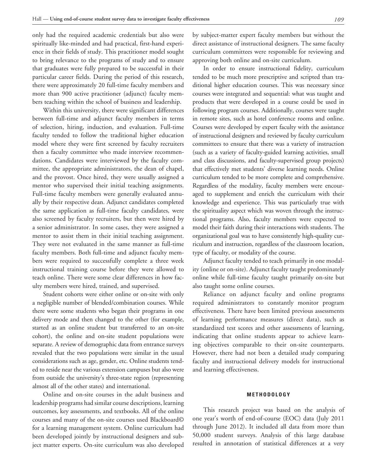only had the required academic credentials but also were spiritually like-minded and had practical, first-hand experience in their fields of study. This practitioner model sought to bring relevance to the programs of study and to ensure that graduates were fully prepared to be successful in their particular career fields. During the period of this research, there were approximately 20 full-time faculty members and more than 900 active practitioner (adjunct) faculty members teaching within the school of business and leadership.

Within this university, there were significant differences between full-time and adjunct faculty members in terms of selection, hiring, induction, and evaluation. Full-time faculty tended to follow the traditional higher education model where they were first screened by faculty recruiters then a faculty committee who made interview recommendations. Candidates were interviewed by the faculty committee, the appropriate administrators, the dean of chapel, and the provost. Once hired, they were usually assigned a mentor who supervised their initial teaching assignments. Full-time faculty members were generally evaluated annually by their respective dean. Adjunct candidates completed the same application as full-time faculty candidates, were also screened by faculty recruiters, but then were hired by a senior administrator. In some cases, they were assigned a mentor to assist them in their initial teaching assignment. They were not evaluated in the same manner as full-time faculty members. Both full-time and adjunct faculty members were required to successfully complete a three week instructional training course before they were allowed to teach online. There were some clear differences in how faculty members were hired, trained, and supervised.

Student cohorts were either online or on-site with only a negligible number of blended/combination courses. While there were some students who began their programs in one delivery mode and then changed to the other (for example, started as an online student but transferred to an on-site cohort), the online and on-site student populations were separate. A review of demographic data from entrance surveys revealed that the two populations were similar in the usual considerations such as age, gender, etc. Online students tended to reside near the various extension campuses but also were from outside the university's three-state region (representing almost all of the other states) and international.

Online and on-site courses in the adult business and leadership programs had similar course descriptions, learning outcomes, key assessments, and textbooks. All of the online courses and many of the on-site courses used Blackboard© for a learning management system. Online curriculum had been developed jointly by instructional designers and subject matter experts. On-site curriculum was also developed

by subject-matter expert faculty members but without the direct assistance of instructional designers. The same faculty curriculum committees were responsible for reviewing and approving both online and on-site curriculum.

In order to ensure instructional fidelity, curriculum tended to be much more prescriptive and scripted than traditional higher education courses. This was necessary since courses were integrated and sequential: what was taught and products that were developed in a course could be used in following program courses. Additionally, courses were taught in remote sites, such as hotel conference rooms and online. Courses were developed by expert faculty with the assistance of instructional designers and reviewed by faculty curriculum committees to ensure that there was a variety of instruction (such as a variety of faculty-guided learning activities, small and class discussions, and faculty-supervised group projects) that effectively met students' diverse learning needs. Online curriculum tended to be more complete and comprehensive. Regardless of the modality, faculty members were encouraged to supplement and enrich the curriculum with their knowledge and experience. This was particularly true with the spirituality aspect which was woven through the instructional programs. Also, faculty members were expected to model their faith during their interactions with students. The organizational goal was to have consistently high-quality curriculum and instruction, regardless of the classroom location, type of faculty, or modality of the course.

Adjunct faculty tended to teach primarily in one modality (online or on-site). Adjunct faculty taught predominately online while full-time faculty taught primarily on-site but also taught some online courses.

Reliance on adjunct faculty and online programs required administrators to constantly monitor program effectiveness. There have been limited previous assessments of learning performance measures (direct data), such as standardized test scores and other assessments of learning, indicating that online students appear to achieve learning objectives comparable to their on-site counterparts. However, there had not been a detailed study comparing faculty and instructional delivery models for instructional and learning effectiveness.

## **METHODOLOGY**

This research project was based on the analysis of one year's worth of end-of-course (EOC) data (July 2011 through June 2012). It included all data from more than 50,000 student surveys. Analysis of this large database resulted in annotation of statistical differences at a very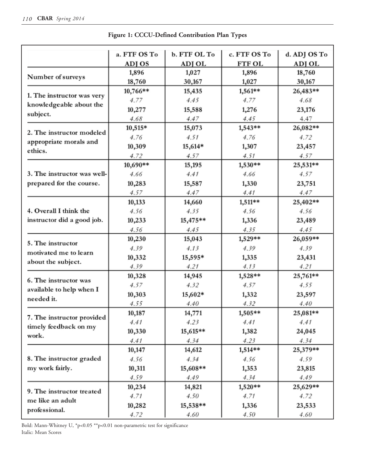|                                                     | a. FTF OS To | b. FTF OL To | c. FTF OS To  | d. ADJ OS To |  |
|-----------------------------------------------------|--------------|--------------|---------------|--------------|--|
|                                                     | ADJ OS       | ADJ OL       | <b>FTF OL</b> | ADJ OL       |  |
|                                                     | 1,896        | 1,027        | 1,896         | 18,760       |  |
| Number of surveys                                   | 18,760       | 30,167       | 1,027         | 30,167       |  |
|                                                     | 10,766**     | 15,435       | 1,561**       | 26,483**     |  |
| 1. The instructor was very                          | 4.77         | 4.45         | 4.77          | 4.68         |  |
| knowledgeable about the                             | 10,277       | 15,588       | 1,276         | 23,176       |  |
| subject.                                            | 4.68         | 4.47         | 4.45          | 4.47         |  |
| 2. The instructor modeled                           | 10,515*      | 15,073       | 1,543**       | 26,082**     |  |
|                                                     | 4.76         | 4.51         | 4.76          | 4.72         |  |
| appropriate morals and                              | 10,309       | 15,614*      | 1,307         | 23,457       |  |
| ethics.                                             | 4.72         | 4.57         | 4.51          | 4.57         |  |
|                                                     | 10,690**     | 15,195       | 1,530**       | 25,531**     |  |
| 3. The instructor was well-                         | 4.66         | 4.41         | 4.66          | 4.57         |  |
| prepared for the course.                            | 10,283       | 15,587       | 1,330         | 23,751       |  |
|                                                     | 4.57         | 4.47         | 4.41          | 4.47         |  |
|                                                     | 10,133       | 14,660       | 1,511**       | 25,402**     |  |
| 4. Overall I think the                              | 4.56         | 4.35         | 4.56          | 4.56         |  |
| instructor did a good job.                          | 10,233       | 15,475**     | 1,336         | 23,489       |  |
|                                                     | 4.56         | 4.45         | 4.35          | 4.45         |  |
| 5. The instructor                                   | 10,230       | 15,043       | 1,529**       | 26,059**     |  |
| motivated me to learn                               | 4.39         | 4.13         | 4.39          | 4.39         |  |
|                                                     | 10,332       | 15,595*      | 1,335         | 23,431       |  |
| about the subject.                                  | 4.39         | 4.21         | 4.13          | 4.21         |  |
| 6. The instructor was                               | 10,328       | 14,945       | 1,528**       | 25,761**     |  |
|                                                     | 4.57         | 4.32         | 4.57          | 4.55         |  |
| available to help when I<br>needed it.              | 10,303       | 15,602*      | 1,332         | 23,597       |  |
|                                                     | 4.55         | 4.40         | 4.32          | 4.40         |  |
|                                                     | 10,187       | 14,771       | 1,505**       | 25,081**     |  |
| 7. The instructor provided<br>timely feedback on my | 4.41         | 4.23         | 4.41          | 4.41         |  |
| work.                                               | 10,330       | $15,615**$   | 1,382         | 24,045       |  |
|                                                     | 4.41         | 4.34         | 4.23          | 4.34         |  |
|                                                     | 10,147       | 14,612       | 1,514**       | 25,379**     |  |
| 8. The instructor graded                            | 4.56         | 4.34         | 4.56          | 4.59         |  |
| my work fairly.                                     | 10,311       | 15,608**     | 1,353         | 23,815       |  |
|                                                     | 4.59         | 4.49         | 4.34          | 4.49         |  |
| 9. The instructor treated                           | 10,234       | 14,821       | 1,520**       | 25,629**     |  |
| me like an adult                                    | 4.71         | 4.50         | 4.71          | 4.72         |  |
|                                                     | 10,282       | 15,538**     | 1,336         | 23,533       |  |
| professional.                                       | 4.72         | 4.60         | 4.50          | 4.60         |  |

|  |  |  |  | <b>Figure 1: CCCU-Defined Contribution Plan Types</b> |  |  |
|--|--|--|--|-------------------------------------------------------|--|--|
|--|--|--|--|-------------------------------------------------------|--|--|

Bold: Mann-Whitney U, \*p<0.05 \*\*p<0.01 non-parametric test for significance Italic: Mean Scores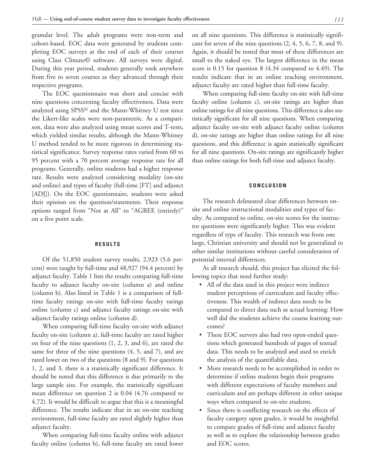granular level. The adult programs were non-term and cohort-based. EOC data were generated by students completing EOC surveys at the end of each of their courses using Class Climate© software. All surveys were digital. During this year period, students generally took anywhere from five to seven courses as they advanced through their respective programs.

The EOC questionnaire was short and concise with nine questions concerning faculty effectiveness. Data were analyzed using SPSS© and the Mann-Whitney U test since the Likert-like scales were non-parametric. As a comparison, data were also analyzed using mean scores and T-tests, which yielded similar results, although the Mann-Whitney U method tended to be more rigorous in determining statistical significance. Survey response rates varied from 60 to 95 percent with a 70 percent average response rate for all programs. Generally, online students had a higher response rate. Results were analyzed considering modality (on-site and online) and types of faculty (full-time [FT] and adjunct [ADJ]). On the EOC questionnaire, students were asked their opinion on the question/statements. Their response options ranged from "Not at All" to "AGREE (entirely)" on a five point scale.

### **RESULTS**

Of the 51,850 student survey results, 2,923 (5.6 percent) were taught by full-time and 48,927 (94.4 percent) by adjunct faculty. Table 1 lists the results comparing full-time faculty to adjunct faculty on-site (column a) and online (column b). Also listed in Table 1 is a comparison of fulltime faculty ratings on-site with full-time faculty ratings online (column c) and adjunct faculty ratings on-site with adjunct faculty ratings online (column d).

When comparing full-time faculty on-site with adjunct faculty on-site (column a), full-time faculty are rated higher on four of the nine questions (1, 2, 3, and 6), are rated the same for three of the nine questions (4, 5, and 7), and are rated lower on two of the questions (8 and 9). For questions 1, 2, and 3, there is a statistically significant difference. It should be noted that this difference is due primarily to the large sample size. For example, the statistically significant mean difference on question 2 is 0.04 (4.76 compared to 4.72). It would be difficult to argue that this is a meaningful difference. The results indicate that in an on-site teaching environment, full-time faculty are rated slightly higher than adjunct faculty.

When comparing full-time faculty online with adjunct faculty online (column b), full-time faculty are rated lower on all nine questions. This difference is statistically significant for seven of the nine questions  $(2, 4, 5, 6, 7, 8, \text{ and } 9)$ . Again, it should be noted that most of these differences are small to the naked eye. The largest difference in the mean score is 0.15 for question 8 (4.34 compared to 4.49). The results indicate that in an online teaching environment, adjunct faculty are rated higher than full-time faculty.

When comparing full-time faculty on-site with full-time faculty online (column c), on-site ratings are higher than online ratings for all nine questions. This difference is also statistically significant for all nine questions. When comparing adjunct faculty on-site with adjunct faculty online (column d), on-site ratings are higher than online ratings for all nine questions, and this difference is again statistically significant for all nine questions. On-site ratings are significantly higher than online ratings for both full-time and adjunct faculty.

#### **CONCLUSION**

The research delineated clear differences between onsite and online instructional modalities and types of faculty. As compared to online, on-site scores for the instructor questions were significantly higher. This was evident regardless of type of faculty. This research was from one large, Christian university and should not be generalized to other similar institutions without careful consideration of potential internal differences.

As all research should, this project has elicited the following topics that need further study:

- All of the data used in this project were indirect student perceptions of curriculum and faculty effectiveness. This wealth of indirect data needs to be compared to direct data such as actual learning: How well did the students achieve the course learning outcomes?
- These EOC surveys also had two open-ended questions which generated hundreds of pages of textual data. This needs to be analyzed and used to enrich the analysis of the quantifiable data.
- More research needs to be accomplished in order to determine if online students begin their programs with different expectations of faculty members and curriculum and are perhaps different in other unique ways when compared to on-site students.
- Since there is conflicting research on the effects of faculty category upon grades, it would be insightful to compare grades of full-time and adjunct faculty as well as to explore the relationship between grades and EOC scores.